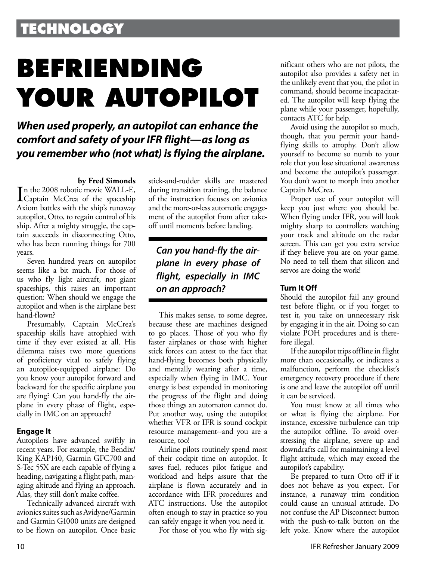# **TECHNOLOGY**

# **BEFRIENDING YOUR AUTOPILOT**

## *When used properly, an autopilot can enhance the comfort and safety of your IFR flight—as long as you remember who (not what) is flying the airplane.*

#### **by Fred Simonds**

In the 2008 robotic movie WALL-E,<br>Captain McCrea of the spaceship Captain McCrea of the spaceship Axiom battles with the ship's runaway autopilot, Otto, to regain control of his ship. After a mighty struggle, the captain succeeds in disconnecting Otto, who has been running things for 700 years.

Seven hundred years on autopilot seems like a bit much. For those of us who fly light aircraft, not giant spaceships, this raises an important question: When should we engage the autopilot and when is the airplane best hand-flown?

Presumably, Captain McCrea's spaceship skills have atrophied with time if they ever existed at all. His dilemma raises two more questions of proficiency vital to safely flying an autopilot-equipped airplane: Do you know your autopilot forward and backward for the specific airplane you are flying? Can you hand-fly the airplane in every phase of flight, especially in IMC on an approach?

#### **Engage It**

Autopilots have advanced swiftly in recent years. For example, the Bendix/ King KAP140, Garmin GFC700 and S-Tec 55X are each capable of flying a heading, navigating a flight path, managing altitude and flying an approach. Alas, they still don't make coffee.

Technically advanced aircraft with avionics suites such as Avidyne/Garmin and Garmin G1000 units are designed to be flown on autopilot. Once basic stick-and-rudder skills are mastered during transition training, the balance of the instruction focuses on avionics and the more-or-less automatic engagement of the autopilot from after takeoff until moments before landing.

### *Can you hand-fly the airplane in every phase of flight, especially in IMC on an approach?*

This makes sense, to some degree, because these are machines designed to go places. Those of you who fly faster airplanes or those with higher stick forces can attest to the fact that hand-flying becomes both physically and mentally wearing after a time, especially when flying in IMC. Your energy is best expended in monitoring the progress of the flight and doing those things an automaton cannot do. Put another way, using the autopilot whether VFR or IFR is sound cockpit resource management--and you are a resource, too!

Airline pilots routinely spend most of their cockpit time on autopilot. It saves fuel, reduces pilot fatigue and workload and helps assure that the airplane is flown accurately and in accordance with IFR procedures and ATC instructions. Use the autopilot often enough to stay in practice so you can safely engage it when you need it.

For those of you who fly with sig-

nificant others who are not pilots, the autopilot also provides a safety net in the unlikely event that you, the pilot in command, should become incapacitated. The autopilot will keep flying the plane while your passenger, hopefully, contacts ATC for help.

Avoid using the autopilot so much, though, that you permit your handflying skills to atrophy. Don't allow yourself to become so numb to your role that you lose situational awareness and become the autopilot's passenger. You don't want to morph into another Captain McCrea.

Proper use of your autopilot will keep you just where you should be. When flying under IFR, you will look mighty sharp to controllers watching your track and altitude on the radar screen. This can get you extra service if they believe you are on your game. No need to tell them that silicon and servos are doing the work!

#### **Turn It Off**

Should the autopilot fail any ground test before flight, or if you forget to test it, you take on unnecessary risk by engaging it in the air. Doing so can violate POH procedures and is therefore illegal.

If the autopilot trips offline in flight more than occasionally, or indicates a malfunction, perform the checklist's emergency recovery procedure if there is one and leave the autopilot off until it can be serviced.

You must know at all times who or what is flying the airplane. For instance, excessive turbulence can trip the autopilot offline. To avoid overstressing the airplane, severe up and downdrafts call for maintaining a level flight attitude, which may exceed the autopilot's capability.

Be prepared to turn Otto off if it does not behave as you expect. For instance, a runaway trim condition could cause an unusual attitude. Do not confuse the AP Disconnect button with the push-to-talk button on the left yoke. Know where the autopilot